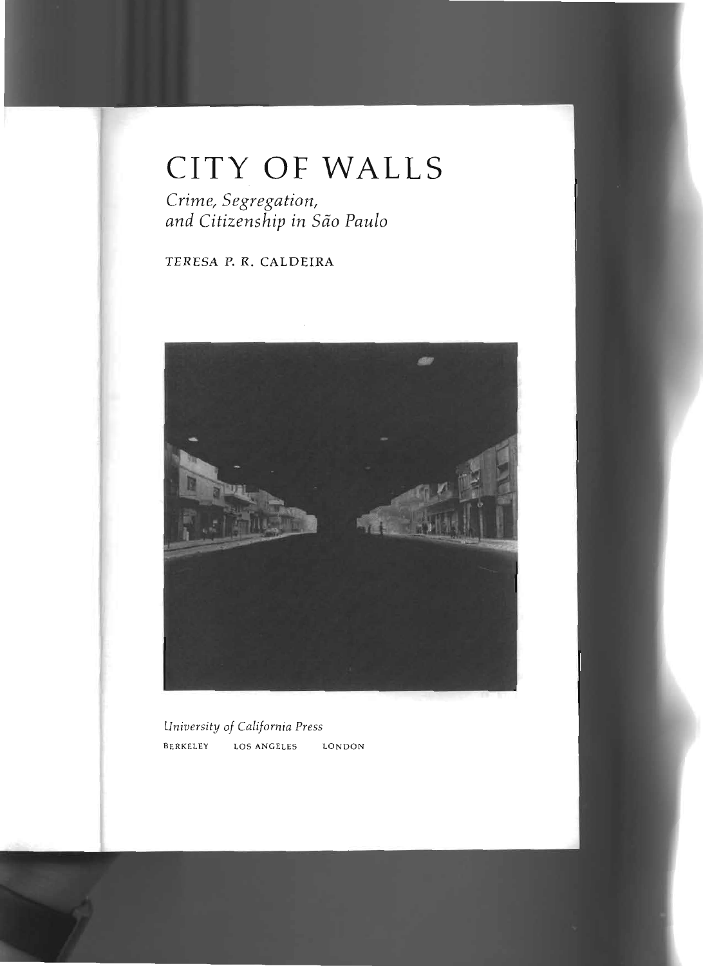## **CITY OF WALLS**

*Crime, Segregation, and Citizenship in Siio Paulo*

## TERESA P. R. CALDEIRA



*University of California Press* BERKELEY LOS ANGELES LONDON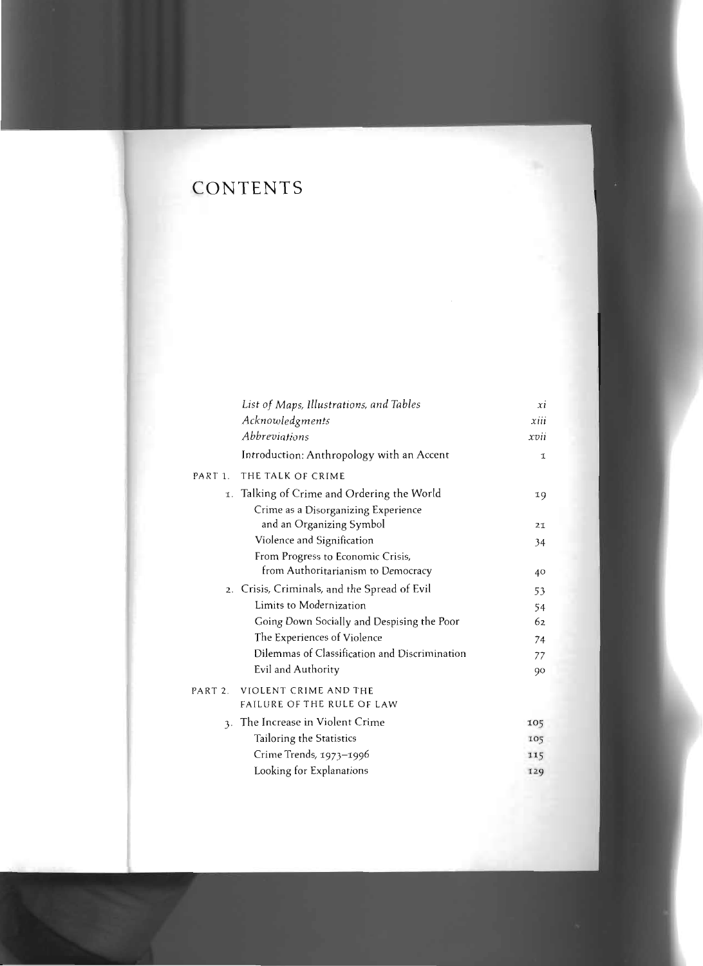## **CONTENTS**

|         | List of Maps, Illustrations, and Tables       | xi   |
|---------|-----------------------------------------------|------|
|         | Acknowledgments                               | xiii |
|         | Abbreviations                                 | xvii |
|         | Introduction: Anthropology with an Accent     | Ţ.   |
| PART 1. | THE TALK OF CRIME                             |      |
|         | 1. Talking of Crime and Ordering the World    | 19   |
|         | Crime as a Disorganizing Experience           |      |
|         | and an Organizing Symbol                      | 21   |
|         | Violence and Signification                    | 34   |
|         | From Progress to Economic Crisis,             |      |
|         | from Authoritarianism to Democracy            | 40   |
|         | 2. Crisis, Criminals, and the Spread of Evil  | 53   |
|         | Limits to Modernization                       | 54   |
|         | Going Down Socially and Despising the Poor    | 62   |
|         | The Experiences of Violence                   | 74   |
|         | Dilemmas of Classification and Discrimination | 77   |
|         | Evil and Authority                            | 90   |
| PART 2. | VIOLENT CRIME AND THE                         |      |
|         | FAILURE OF THE RULE OF LAW                    |      |
|         | 3. The Increase in Violent Crime              | 105  |
|         | Tailoring the Statistics                      | 105  |
|         | Crime Trends, 1973-1996                       | 115  |
|         | Looking for Explanations                      | 129  |
|         |                                               |      |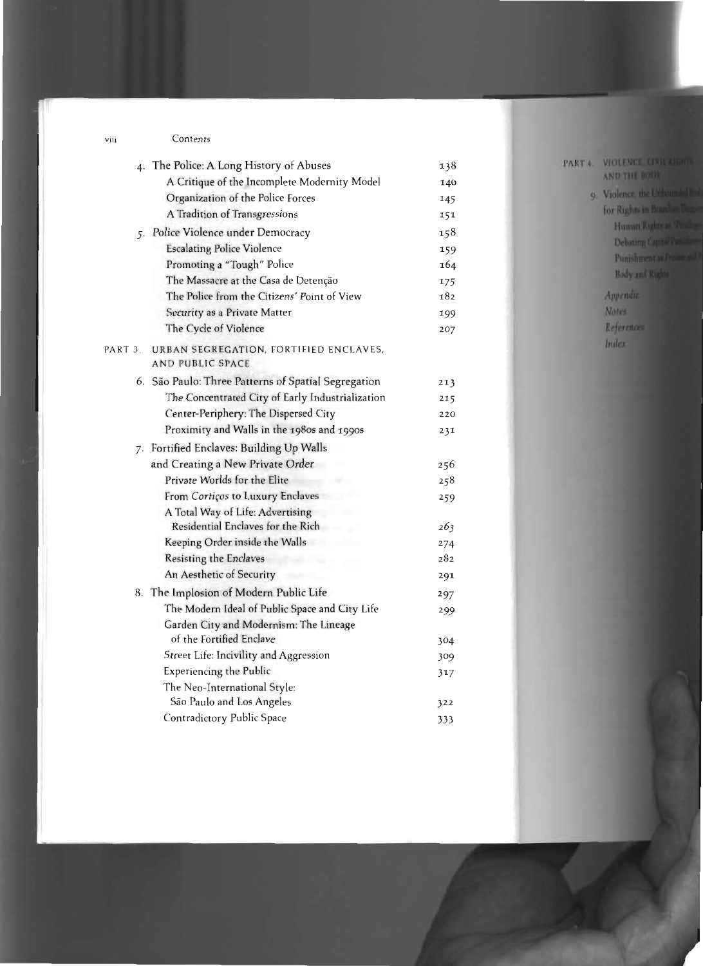## Contents

|                     | 4. The Police: A Long History of Abuses                           | 138 |
|---------------------|-------------------------------------------------------------------|-----|
|                     | A Critique of the Incomplete Modernity Model                      | 140 |
|                     | Organization of the Police Forces                                 | 145 |
|                     | A Tradition of Transgressions                                     | 151 |
|                     | 5. Police Violence under Democracy                                | 158 |
|                     | <b>Escalating Police Violence</b>                                 | 159 |
|                     | Promoting a "Tough" Police                                        | 164 |
|                     | The Massacre at the Casa de Detenção                              | 175 |
|                     | The Police from the Citizens' Point of View                       | 182 |
|                     | Security as a Private Matter                                      | 199 |
|                     | The Cycle of Violence                                             | 207 |
| PART <sub>3</sub> . | URBAN SEGREGATION, FORTIFIED ENCLAVES,<br><b>AND PUBLIC SPACE</b> |     |
|                     | 6. São Paulo: Three Patterns of Spatial Segregation               | 213 |
|                     | The Concentrated City of Early Industrialization                  | 215 |
|                     | Center-Periphery: The Dispersed City                              | 220 |
|                     | Proximity and Walls in the 1980s and 1990s                        | 231 |
|                     | 7. Fortified Enclaves: Building Up Walls                          |     |
|                     | and Creating a New Private Order                                  | 256 |
|                     | Private Worlds for the Elite                                      | 258 |
|                     | From Cortiços to Luxury Enclaves                                  | 259 |
|                     | A Total Way of Life: Advertising                                  |     |
|                     | Residential Enclaves for the Rich                                 | 263 |
|                     | Keeping Order inside the Walls                                    | 274 |
|                     | Resisting the Enclaves                                            | 282 |
|                     | An Aesthetic of Security                                          | 291 |
|                     | 8. The Implosion of Modern Public Life                            | 297 |
|                     | The Modern Ideal of Public Space and City Life                    | 299 |
|                     | Garden City and Modernism: The Lineage                            |     |
|                     | of the Fortified Enclave                                          | 304 |
|                     | Street Life: Incivility and Aggression                            | 309 |
|                     | <b>Experiencing the Public</b>                                    | 317 |
|                     | The Neo-International Style:                                      |     |
|                     | São Paulo and Los Angeles                                         | 322 |
|                     | Contradictory Public Space                                        | 333 |

viii